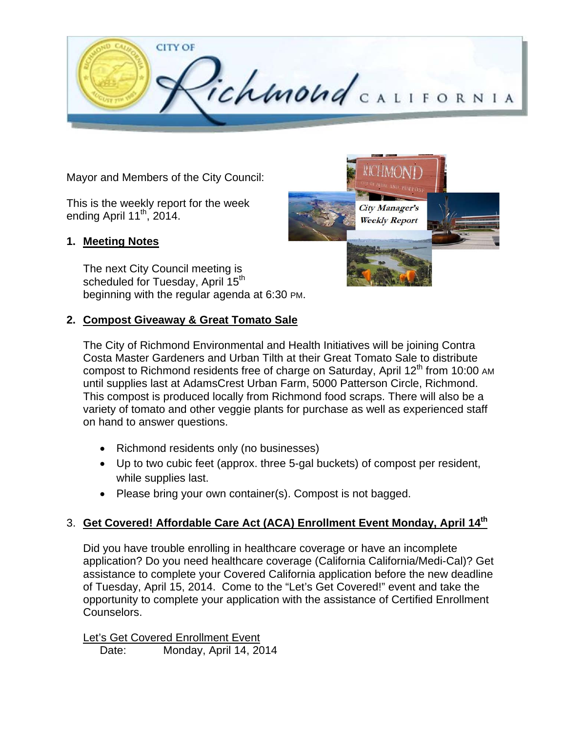

Mayor and Members of the City Council:

This is the weekly report for the week ending April  $11^{th}$ , 2014.

#### **1. Meeting Notes**

The next City Council meeting is scheduled for Tuesday, April 15<sup>th</sup> beginning with the regular agenda at 6:30 PM.

## **2. Compost Giveaway & Great Tomato Sale**



The City of Richmond Environmental and Health Initiatives will be joining Contra Costa Master Gardeners and Urban Tilth at their Great Tomato Sale to distribute compost to Richmond residents free of charge on Saturday, April  $12<sup>th</sup>$  from 10:00 AM until supplies last at AdamsCrest Urban Farm, 5000 Patterson Circle, Richmond. This compost is produced locally from Richmond food scraps. There will also be a variety of tomato and other veggie plants for purchase as well as experienced staff on hand to answer questions.

- Richmond residents only (no businesses)
- Up to two cubic feet (approx. three 5-gal buckets) of compost per resident, while supplies last.
- Please bring your own container(s). Compost is not bagged.

# 3. **Get Covered! Affordable Care Act (ACA) Enrollment Event Monday, April 14th**

Did you have trouble enrolling in healthcare coverage or have an incomplete application? Do you need healthcare coverage (California California/Medi-Cal)? Get assistance to complete your Covered California application before the new deadline of Tuesday, April 15, 2014. Come to the "Let's Get Covered!" event and take the opportunity to complete your application with the assistance of Certified Enrollment Counselors.

Let's Get Covered Enrollment Event Date: Monday, April 14, 2014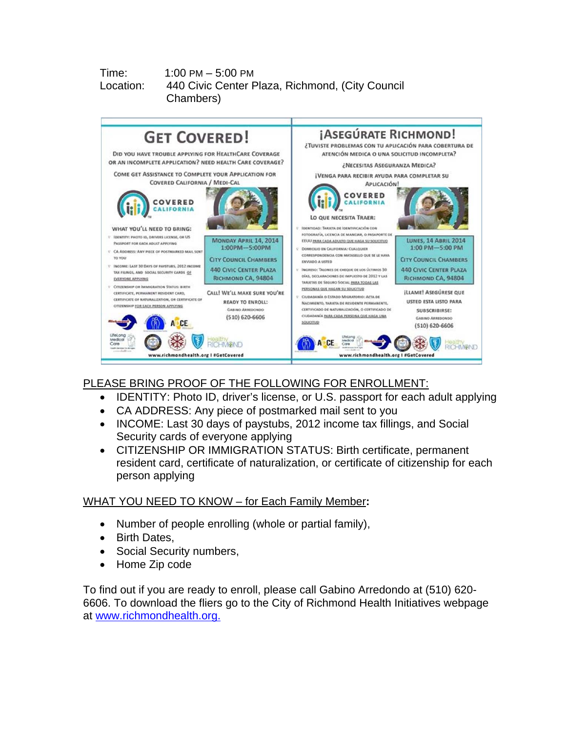### Time: 1:00 PM – 5:00 PM Location: 440 Civic Center Plaza, Richmond, (City Council Chambers)



# PLEASE BRING PROOF OF THE FOLLOWING FOR ENROLLMENT:

- IDENTITY: Photo ID, driver's license, or U.S. passport for each adult applying
- CA ADDRESS: Any piece of postmarked mail sent to you
- INCOME: Last 30 days of paystubs, 2012 income tax fillings, and Social Security cards of everyone applying
- CITIZENSHIP OR IMMIGRATION STATUS: Birth certificate, permanent resident card, certificate of naturalization, or certificate of citizenship for each person applying

# WHAT YOU NEED TO KNOW – for Each Family Member**:**

- Number of people enrolling (whole or partial family),
- Birth Dates,
- Social Security numbers,
- Home Zip code

To find out if you are ready to enroll, please call Gabino Arredondo at (510) 620- 6606. To download the fliers go to the City of Richmond Health Initiatives webpage at www.richmondhealth.org.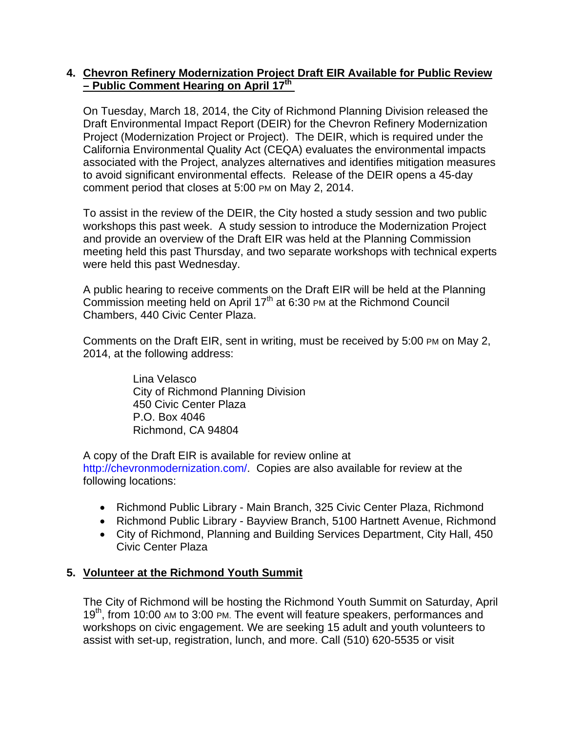### **4. Chevron Refinery Modernization Project Draft EIR Available for Public Review – Public Comment Hearing on April 17th**

On Tuesday, March 18, 2014, the City of Richmond Planning Division released the Draft Environmental Impact Report (DEIR) for the Chevron Refinery Modernization Project (Modernization Project or Project). The DEIR, which is required under the California Environmental Quality Act (CEQA) evaluates the environmental impacts associated with the Project, analyzes alternatives and identifies mitigation measures to avoid significant environmental effects. Release of the DEIR opens a 45-day comment period that closes at 5:00 PM on May 2, 2014.

To assist in the review of the DEIR, the City hosted a study session and two public workshops this past week. A study session to introduce the Modernization Project and provide an overview of the Draft EIR was held at the Planning Commission meeting held this past Thursday, and two separate workshops with technical experts were held this past Wednesday.

A public hearing to receive comments on the Draft EIR will be held at the Planning Commission meeting held on April  $17<sup>th</sup>$  at 6:30 PM at the Richmond Council Chambers, 440 Civic Center Plaza.

Comments on the Draft EIR, sent in writing, must be received by 5:00 PM on May 2, 2014, at the following address:

> Lina Velasco City of Richmond Planning Division 450 Civic Center Plaza P.O. Box 4046 Richmond, CA 94804

A copy of the Draft EIR is available for review online at http://chevronmodernization.com/. Copies are also available for review at the following locations:

- Richmond Public Library Main Branch, 325 Civic Center Plaza, Richmond
- Richmond Public Library Bayview Branch, 5100 Hartnett Avenue, Richmond
- City of Richmond, Planning and Building Services Department, City Hall, 450 Civic Center Plaza

# **5. Volunteer at the Richmond Youth Summit**

The City of Richmond will be hosting the Richmond Youth Summit on Saturday, April 19<sup>th</sup>, from 10:00 AM to 3:00 PM. The event will feature speakers, performances and workshops on civic engagement. We are seeking 15 adult and youth volunteers to assist with set-up, registration, lunch, and more. Call (510) 620-5535 or visit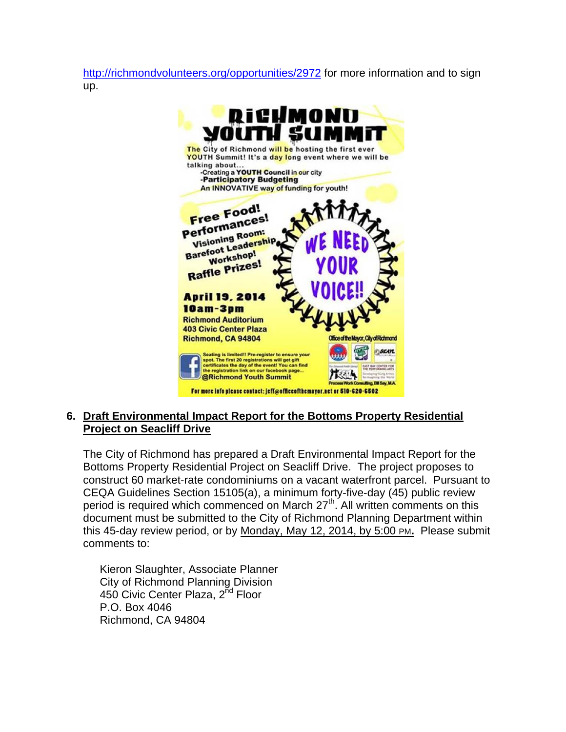http://richmondvolunteers.org/opportunities/2972 for more information and to sign up.

| <b>DIGHMONU</b><br>MOUTH SUMMIT                                                                                                                                                                                                      |                                                                                                 |
|--------------------------------------------------------------------------------------------------------------------------------------------------------------------------------------------------------------------------------------|-------------------------------------------------------------------------------------------------|
| The City of Richmond will be hosting the first ever<br>YOUTH Summit! It's a day long event where we will be<br>talking about<br>-Creating a YOUTH Council in our city                                                                |                                                                                                 |
| -Participatory Budgeting<br>An INNOVATIVE way of funding for youth!                                                                                                                                                                  |                                                                                                 |
| Free Food!<br>Performances!<br><b>Visioning Room:</b><br><b>Barefoot Leadership</b><br><b>Workshop!</b><br><b>Raffle Prizes!</b>                                                                                                     | WE NEED<br>YOUR                                                                                 |
| <b>April 19, 2014</b><br>10am-3pm                                                                                                                                                                                                    |                                                                                                 |
| <b>Richmond Auditorium</b>                                                                                                                                                                                                           |                                                                                                 |
| <b>403 Civic Center Plaza</b>                                                                                                                                                                                                        |                                                                                                 |
| Richmond, CA 94804                                                                                                                                                                                                                   | Office of the Mayor, City of Richmond                                                           |
| Seating is limited!! Pre-register to ensure your<br>spot. The first 20 registrations will get gift<br>certificates the day of the event! You can find<br>the registration link on our facebook page<br><b>@Richmond Youth Summit</b> | seam<br><b>EAST BAY CENTER I</b><br><b>E PERFORMING ARTS</b><br>Work Consulting, Bill Say, M.A. |
| For more info please contact: ieff@officeofthemayor.net or 510-620-6502                                                                                                                                                              |                                                                                                 |

## **6. Draft Environmental Impact Report for the Bottoms Property Residential Project on Seacliff Drive**

The City of Richmond has prepared a Draft Environmental Impact Report for the Bottoms Property Residential Project on Seacliff Drive. The project proposes to construct 60 market‐rate condominiums on a vacant waterfront parcel. Pursuant to CEQA Guidelines Section 15105(a), a minimum forty-five-day (45) public review period is required which commenced on March  $27<sup>th</sup>$ . All written comments on this document must be submitted to the City of Richmond Planning Department within this 45-day review period, or by Monday, May 12, 2014, by 5:00 PM**.** Please submit comments to:

Kieron Slaughter, Associate Planner City of Richmond Planning Division 450 Civic Center Plaza, 2<sup>nd</sup> Floor P.O. Box 4046 Richmond, CA 94804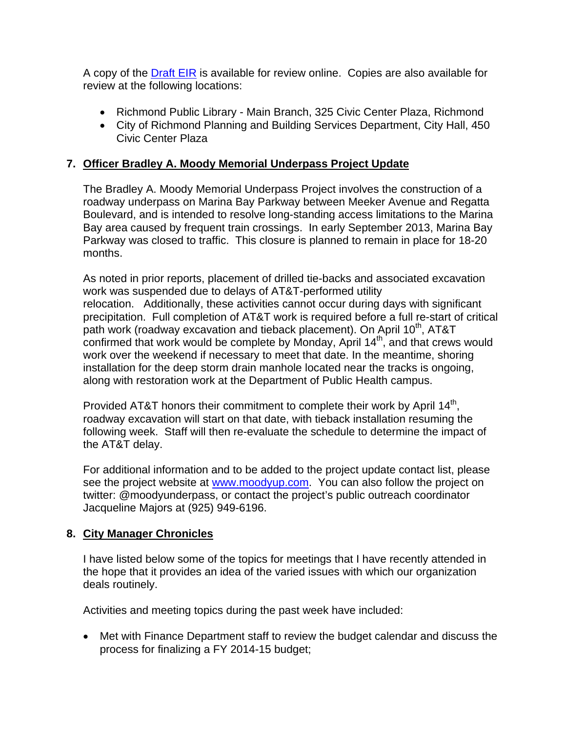A copy of the Draft EIR is available for review online. Copies are also available for review at the following locations:

- Richmond Public Library Main Branch, 325 Civic Center Plaza, Richmond
- City of Richmond Planning and Building Services Department, City Hall, 450 Civic Center Plaza

## **7. Officer Bradley A. Moody Memorial Underpass Project Update**

The Bradley A. Moody Memorial Underpass Project involves the construction of a roadway underpass on Marina Bay Parkway between Meeker Avenue and Regatta Boulevard, and is intended to resolve long-standing access limitations to the Marina Bay area caused by frequent train crossings. In early September 2013, Marina Bay Parkway was closed to traffic. This closure is planned to remain in place for 18-20 months.

As noted in prior reports, placement of drilled tie-backs and associated excavation work was suspended due to delays of AT&T-performed utility relocation. Additionally, these activities cannot occur during days with significant precipitation. Full completion of AT&T work is required before a full re-start of critical path work (roadway excavation and tieback placement). On April 10<sup>th</sup>, AT&T confirmed that work would be complete by Monday, April  $14<sup>th</sup>$ , and that crews would work over the weekend if necessary to meet that date. In the meantime, shoring installation for the deep storm drain manhole located near the tracks is ongoing, along with restoration work at the Department of Public Health campus.

Provided AT&T honors their commitment to complete their work by April 14<sup>th</sup>, roadway excavation will start on that date, with tieback installation resuming the following week. Staff will then re-evaluate the schedule to determine the impact of the AT&T delay.

For additional information and to be added to the project update contact list, please see the project website at www.moodyup.com. You can also follow the project on twitter: @moodyunderpass, or contact the project's public outreach coordinator Jacqueline Majors at (925) 949-6196.

# **8. City Manager Chronicles**

I have listed below some of the topics for meetings that I have recently attended in the hope that it provides an idea of the varied issues with which our organization deals routinely.

Activities and meeting topics during the past week have included:

 Met with Finance Department staff to review the budget calendar and discuss the process for finalizing a FY 2014-15 budget;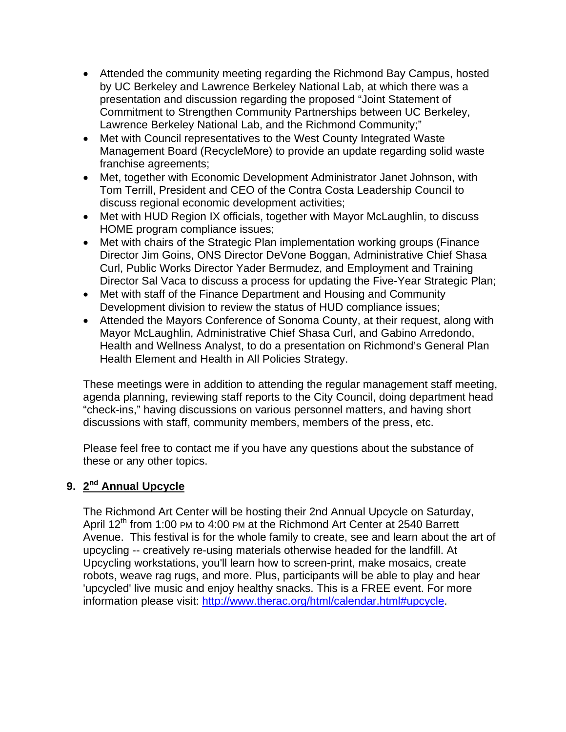- Attended the community meeting regarding the Richmond Bay Campus, hosted by UC Berkeley and Lawrence Berkeley National Lab, at which there was a presentation and discussion regarding the proposed "Joint Statement of Commitment to Strengthen Community Partnerships between UC Berkeley, Lawrence Berkeley National Lab, and the Richmond Community;"
- Met with Council representatives to the West County Integrated Waste Management Board (RecycleMore) to provide an update regarding solid waste franchise agreements;
- Met, together with Economic Development Administrator Janet Johnson, with Tom Terrill, President and CEO of the Contra Costa Leadership Council to discuss regional economic development activities;
- Met with HUD Region IX officials, together with Mayor McLaughlin, to discuss HOME program compliance issues;
- Met with chairs of the Strategic Plan implementation working groups (Finance Director Jim Goins, ONS Director DeVone Boggan, Administrative Chief Shasa Curl, Public Works Director Yader Bermudez, and Employment and Training Director Sal Vaca to discuss a process for updating the Five-Year Strategic Plan;
- Met with staff of the Finance Department and Housing and Community Development division to review the status of HUD compliance issues;
- Attended the Mayors Conference of Sonoma County, at their request, along with Mayor McLaughlin, Administrative Chief Shasa Curl, and Gabino Arredondo, Health and Wellness Analyst, to do a presentation on Richmond's General Plan Health Element and Health in All Policies Strategy.

These meetings were in addition to attending the regular management staff meeting, agenda planning, reviewing staff reports to the City Council, doing department head "check-ins," having discussions on various personnel matters, and having short discussions with staff, community members, members of the press, etc.

Please feel free to contact me if you have any questions about the substance of these or any other topics.

# **9. 2nd Annual Upcycle**

The Richmond Art Center will be hosting their 2nd Annual Upcycle on Saturday, April 12<sup>th</sup> from 1:00 PM to 4:00 PM at the Richmond Art Center at 2540 Barrett Avenue. This festival is for the whole family to create, see and learn about the art of upcycling -- creatively re-using materials otherwise headed for the landfill. At Upcycling workstations, you'll learn how to screen-print, make mosaics, create robots, weave rag rugs, and more. Plus, participants will be able to play and hear 'upcycled' live music and enjoy healthy snacks. This is a FREE event. For more information please visit: http://www.therac.org/html/calendar.html#upcycle.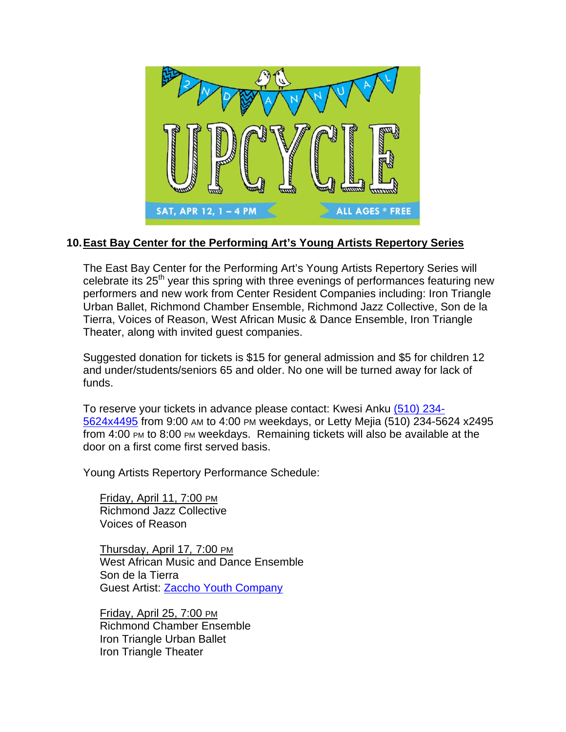

## **10. East Bay Center for the Performing Art's Young Artists Repertory Series**

The East Bay Center for the Performing Art's Young Artists Repertory Series will celebrate its 25<sup>th</sup> year this spring with three evenings of performances featuring new performers and new work from Center Resident Companies including: Iron Triangle Urban Ballet, Richmond Chamber Ensemble, Richmond Jazz Collective, Son de la Tierra, Voices of Reason, West African Music & Dance Ensemble, Iron Triangle Theater, along with invited guest companies.

Suggested donation for tickets is \$15 for general admission and \$5 for children 12 and under/students/seniors 65 and older. No one will be turned away for lack of funds.

To reserve your tickets in advance please contact: Kwesi Anku (510) 234- 5624x4495 from 9:00 AM to 4:00 PM weekdays, or Letty Mejia (510) 234-5624 x2495 from 4:00 PM to 8:00 PM weekdays. Remaining tickets will also be available at the door on a first come first served basis.

Young Artists Repertory Performance Schedule:

Friday, April 11, 7:00 PM Richmond Jazz Collective Voices of Reason

Thursday, April 17*,* 7:00 PM West African Music and Dance Ensemble Son de la Tierra Guest Artist: Zaccho Youth Company

Friday, April 25, 7:00 PM Richmond Chamber Ensemble Iron Triangle Urban Ballet Iron Triangle Theater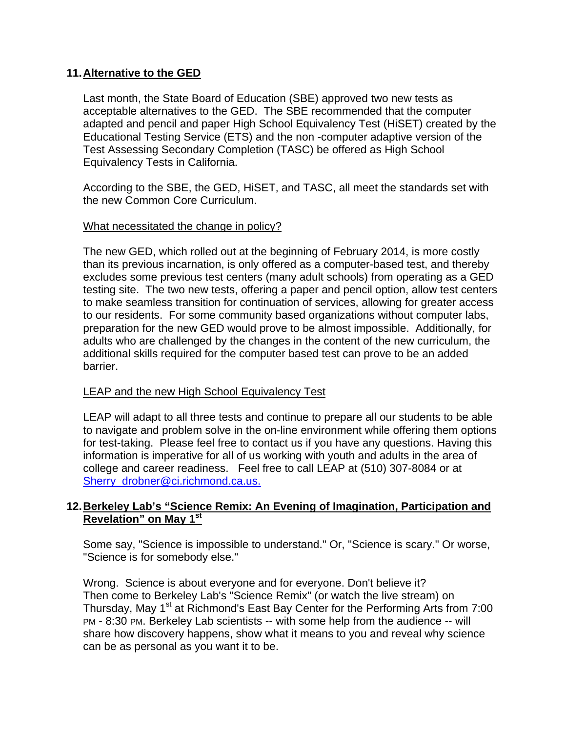## **11. Alternative to the GED**

Last month, the State Board of Education (SBE) approved two new tests as acceptable alternatives to the GED. The SBE recommended that the computer adapted and pencil and paper High School Equivalency Test (HiSET) created by the Educational Testing Service (ETS) and the non -computer adaptive version of the Test Assessing Secondary Completion (TASC) be offered as High School Equivalency Tests in California.

According to the SBE, the GED, HiSET, and TASC, all meet the standards set with the new Common Core Curriculum.

#### What necessitated the change in policy?

The new GED, which rolled out at the beginning of February 2014, is more costly than its previous incarnation, is only offered as a computer-based test, and thereby excludes some previous test centers (many adult schools) from operating as a GED testing site. The two new tests, offering a paper and pencil option, allow test centers to make seamless transition for continuation of services, allowing for greater access to our residents. For some community based organizations without computer labs, preparation for the new GED would prove to be almost impossible. Additionally, for adults who are challenged by the changes in the content of the new curriculum, the additional skills required for the computer based test can prove to be an added barrier.

#### LEAP and the new High School Equivalency Test

LEAP will adapt to all three tests and continue to prepare all our students to be able to navigate and problem solve in the on-line environment while offering them options for test-taking. Please feel free to contact us if you have any questions. Having this information is imperative for all of us working with youth and adults in the area of college and career readiness. Feel free to call LEAP at (510) 307-8084 or at Sherry\_drobner@ci.richmond.ca.us.

#### **12. Berkeley Lab's "Science Remix: An Evening of Imagination, Participation and Revelation" on May 1st**

Some say, "Science is impossible to understand." Or, "Science is scary." Or worse, "Science is for somebody else."

Wrong. Science is about everyone and for everyone. Don't believe it? Then come to Berkeley Lab's "Science Remix" (or watch the live stream) on Thursday, May 1<sup>st</sup> at Richmond's East Bay Center for the Performing Arts from 7:00 PM - 8:30 PM. Berkeley Lab scientists -- with some help from the audience -- will share how discovery happens, show what it means to you and reveal why science can be as personal as you want it to be.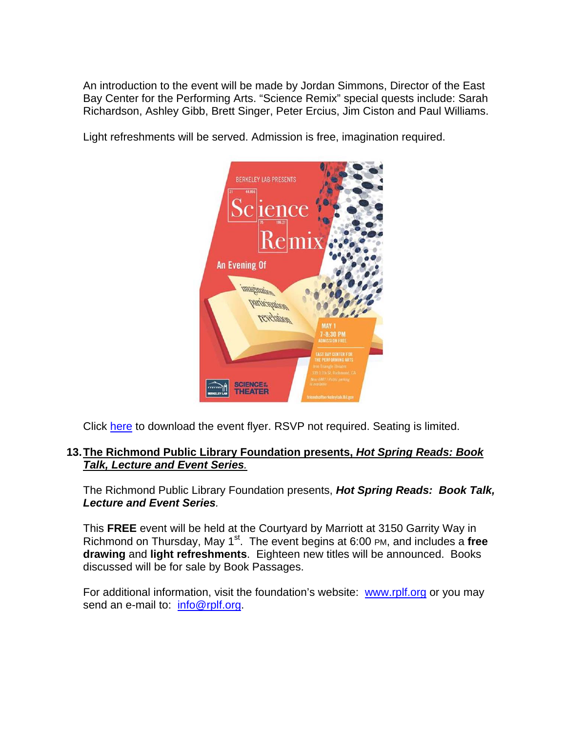An introduction to the event will be made by Jordan Simmons, Director of the East Bay Center for the Performing Arts. "Science Remix" special quests include: Sarah Richardson, Ashley Gibb, Brett Singer, Peter Ercius, Jim Ciston and Paul Williams.

Light refreshments will be served. Admission is free, imagination required.



Click here to download the event flyer. RSVP not required. Seating is limited.

#### **13. The Richmond Public Library Foundation presents,** *Hot Spring Reads: Book Talk, Lecture and Event Series.*

The Richmond Public Library Foundation presents, *Hot Spring Reads: Book Talk, Lecture and Event Series.*

This **FREE** event will be held at the Courtyard by Marriott at 3150 Garrity Way in Richmond on Thursday, May 1<sup>st</sup>. The event begins at 6:00 PM, and includes a free **drawing** and **light refreshments**. Eighteen new titles will be announced. Books discussed will be for sale by Book Passages.

For additional information, visit the foundation's website: www.rplf.org or you may send an e-mail to: info@rplf.org.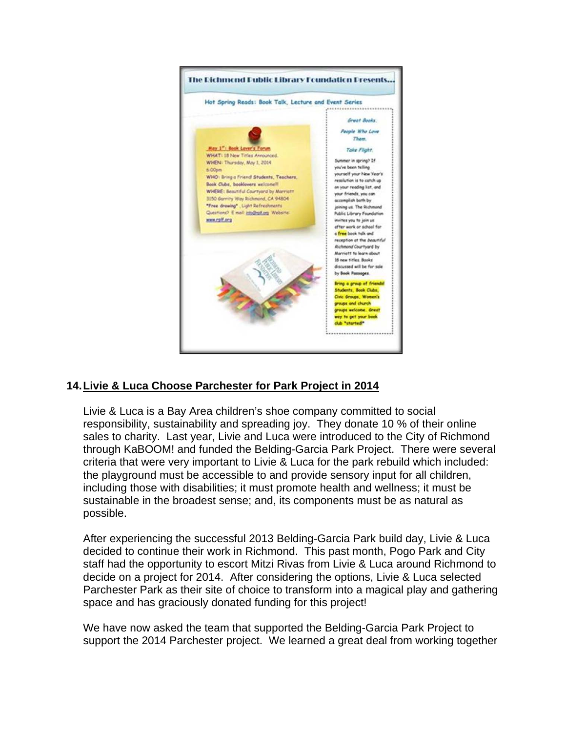

# **14. Livie & Luca Choose Parchester for Park Project in 2014**

Livie & Luca is a Bay Area children's shoe company committed to social responsibility, sustainability and spreading joy. They donate 10 % of their online sales to charity. Last year, Livie and Luca were introduced to the City of Richmond through KaBOOM! and funded the Belding-Garcia Park Project. There were several criteria that were very important to Livie & Luca for the park rebuild which included: the playground must be accessible to and provide sensory input for all children, including those with disabilities; it must promote health and wellness; it must be sustainable in the broadest sense; and, its components must be as natural as possible.

After experiencing the successful 2013 Belding-Garcia Park build day, Livie & Luca decided to continue their work in Richmond. This past month, Pogo Park and City staff had the opportunity to escort Mitzi Rivas from Livie & Luca around Richmond to decide on a project for 2014. After considering the options, Livie & Luca selected Parchester Park as their site of choice to transform into a magical play and gathering space and has graciously donated funding for this project!

We have now asked the team that supported the Belding-Garcia Park Project to support the 2014 Parchester project. We learned a great deal from working together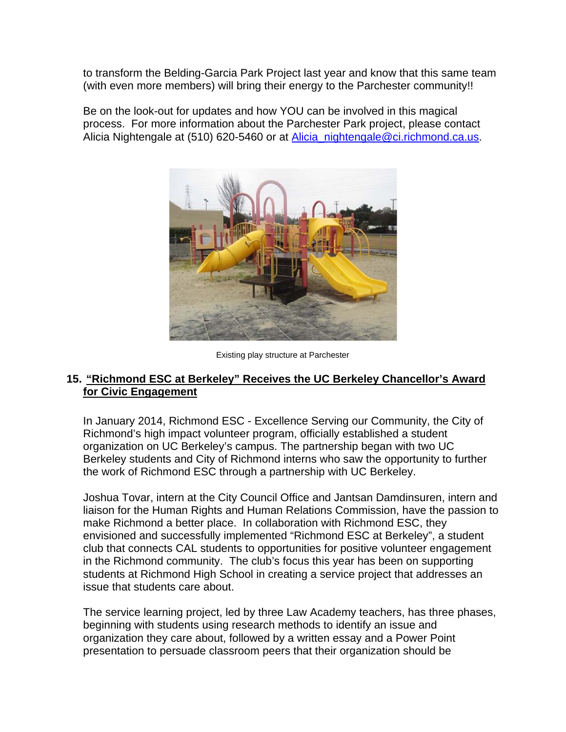to transform the Belding-Garcia Park Project last year and know that this same team (with even more members) will bring their energy to the Parchester community!!

Be on the look-out for updates and how YOU can be involved in this magical process. For more information about the Parchester Park project, please contact Alicia Nightengale at (510) 620-5460 or at **Alicia\_nightengale@ci.richmond.ca.us.** 



Existing play structure at Parchester

#### **15. "Richmond ESC at Berkeley" Receives the UC Berkeley Chancellor's Award for Civic Engagement**

In January 2014, Richmond ESC - Excellence Serving our Community, the City of Richmond's high impact volunteer program, officially established a student organization on UC Berkeley's campus. The partnership began with two UC Berkeley students and City of Richmond interns who saw the opportunity to further the work of Richmond ESC through a partnership with UC Berkeley.

Joshua Tovar, intern at the City Council Office and Jantsan Damdinsuren, intern and liaison for the Human Rights and Human Relations Commission, have the passion to make Richmond a better place. In collaboration with Richmond ESC, they envisioned and successfully implemented "Richmond ESC at Berkeley", a student club that connects CAL students to opportunities for positive volunteer engagement in the Richmond community. The club's focus this year has been on supporting students at Richmond High School in creating a service project that addresses an issue that students care about.

The service learning project, led by three Law Academy teachers, has three phases, beginning with students using research methods to identify an issue and organization they care about, followed by a written essay and a Power Point presentation to persuade classroom peers that their organization should be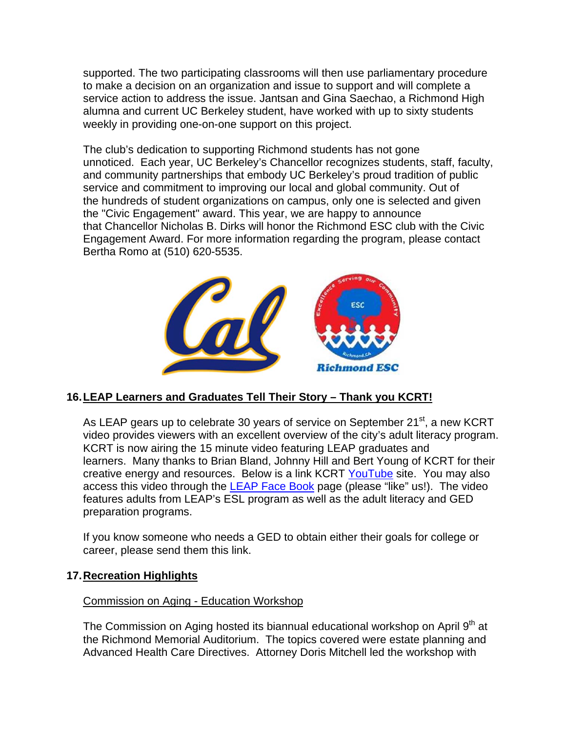supported. The two participating classrooms will then use parliamentary procedure to make a decision on an organization and issue to support and will complete a service action to address the issue. Jantsan and Gina Saechao, a Richmond High alumna and current UC Berkeley student, have worked with up to sixty students weekly in providing one-on-one support on this project.

The club's dedication to supporting Richmond students has not gone unnoticed. Each year, UC Berkeley's Chancellor recognizes students, staff, faculty, and community partnerships that embody UC Berkeley's proud tradition of public service and commitment to improving our local and global community. Out of the hundreds of student organizations on campus, only one is selected and given the "Civic Engagement" award. This year, we are happy to announce that Chancellor Nicholas B. Dirks will honor the Richmond ESC club with the Civic Engagement Award. For more information regarding the program, please contact Bertha Romo at (510) 620-5535.



# **16. LEAP Learners and Graduates Tell Their Story – Thank you KCRT!**

As LEAP gears up to celebrate 30 years of service on September  $21<sup>st</sup>$ , a new KCRT video provides viewers with an excellent overview of the city's adult literacy program. KCRT is now airing the 15 minute video featuring LEAP graduates and learners. Many thanks to Brian Bland, Johnny Hill and Bert Young of KCRT for their creative energy and resources. Below is a link KCRT YouTube site. You may also access this video through the **LEAP Face Book** page (please "like" us!). The video features adults from LEAP's ESL program as well as the adult literacy and GED preparation programs.

If you know someone who needs a GED to obtain either their goals for college or career, please send them this link.

# **17. Recreation Highlights**

#### Commission on Aging - Education Workshop

The Commission on Aging hosted its biannual educational workshop on April  $9<sup>th</sup>$  at the Richmond Memorial Auditorium. The topics covered were estate planning and Advanced Health Care Directives. Attorney Doris Mitchell led the workshop with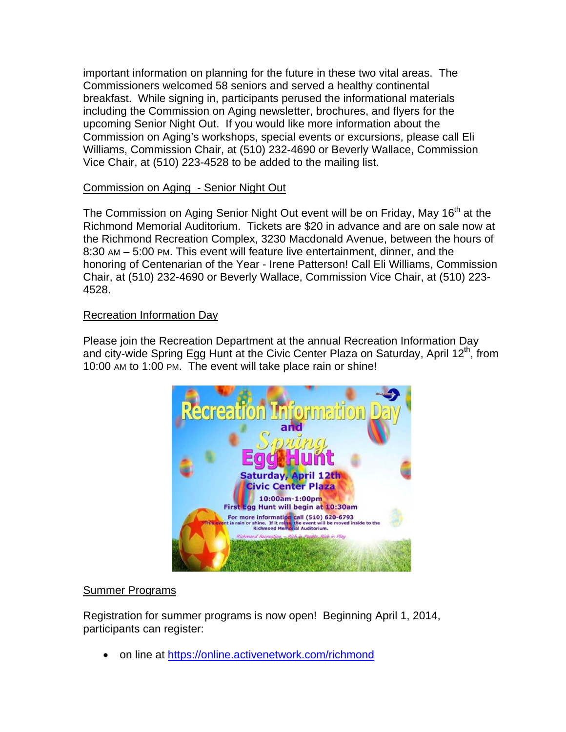important information on planning for the future in these two vital areas. The Commissioners welcomed 58 seniors and served a healthy continental breakfast. While signing in, participants perused the informational materials including the Commission on Aging newsletter, brochures, and flyers for the upcoming Senior Night Out. If you would like more information about the Commission on Aging's workshops, special events or excursions, please call Eli Williams, Commission Chair, at (510) 232-4690 or Beverly Wallace, Commission Vice Chair, at (510) 223-4528 to be added to the mailing list.

## Commission on Aging - Senior Night Out

The Commission on Aging Senior Night Out event will be on Friday, May 16<sup>th</sup> at the Richmond Memorial Auditorium. Tickets are \$20 in advance and are on sale now at the Richmond Recreation Complex, 3230 Macdonald Avenue, between the hours of 8:30 AM – 5:00 PM. This event will feature live entertainment, dinner, and the honoring of Centenarian of the Year - Irene Patterson! Call Eli Williams, Commission Chair, at (510) 232-4690 or Beverly Wallace, Commission Vice Chair, at (510) 223- 4528.

## Recreation Information Day

Please join the Recreation Department at the annual Recreation Information Day and city-wide Spring Egg Hunt at the Civic Center Plaza on Saturday, April 12<sup>th</sup>, from 10:00 AM to 1:00 PM. The event will take place rain or shine!



#### Summer Programs

Registration for summer programs is now open! Beginning April 1, 2014, participants can register:

• on line at https://online.activenetwork.com/richmond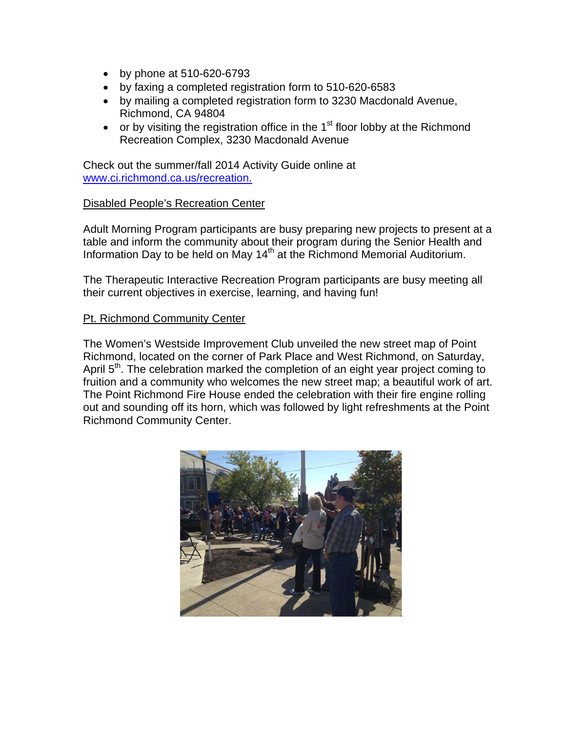- by phone at 510-620-6793
- by faxing a completed registration form to 510-620-6583
- by mailing a completed registration form to 3230 Macdonald Avenue, Richmond, CA 94804
- or by visiting the registration office in the  $1<sup>st</sup>$  floor lobby at the Richmond Recreation Complex, 3230 Macdonald Avenue

Check out the summer/fall 2014 Activity Guide online at www.ci.richmond.ca.us/recreation.

#### Disabled People's Recreation Center

Adult Morning Program participants are busy preparing new projects to present at a table and inform the community about their program during the Senior Health and Information Day to be held on May 14<sup>th</sup> at the Richmond Memorial Auditorium.

The Therapeutic Interactive Recreation Program participants are busy meeting all their current objectives in exercise, learning, and having fun!

#### Pt. Richmond Community Center

The Women's Westside Improvement Club unveiled the new street map of Point Richmond, located on the corner of Park Place and West Richmond, on Saturday, April 5<sup>th</sup>. The celebration marked the completion of an eight year project coming to fruition and a community who welcomes the new street map; a beautiful work of art. The Point Richmond Fire House ended the celebration with their fire engine rolling out and sounding off its horn, which was followed by light refreshments at the Point Richmond Community Center.

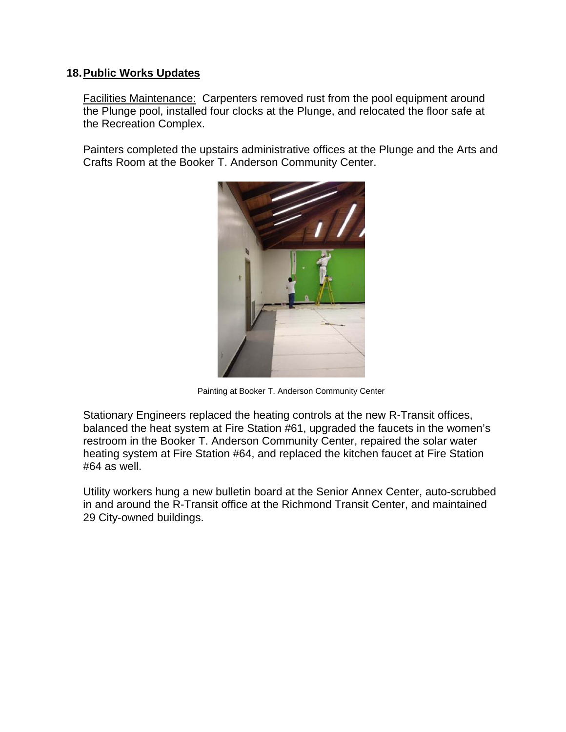### **18. Public Works Updates**

Facilities Maintenance: Carpenters removed rust from the pool equipment around the Plunge pool, installed four clocks at the Plunge, and relocated the floor safe at the Recreation Complex.

Painters completed the upstairs administrative offices at the Plunge and the Arts and Crafts Room at the Booker T. Anderson Community Center.



Painting at Booker T. Anderson Community Center

Stationary Engineers replaced the heating controls at the new R-Transit offices, balanced the heat system at Fire Station #61, upgraded the faucets in the women's restroom in the Booker T. Anderson Community Center, repaired the solar water heating system at Fire Station #64, and replaced the kitchen faucet at Fire Station #64 as well.

Utility workers hung a new bulletin board at the Senior Annex Center, auto-scrubbed in and around the R-Transit office at the Richmond Transit Center, and maintained 29 City-owned buildings.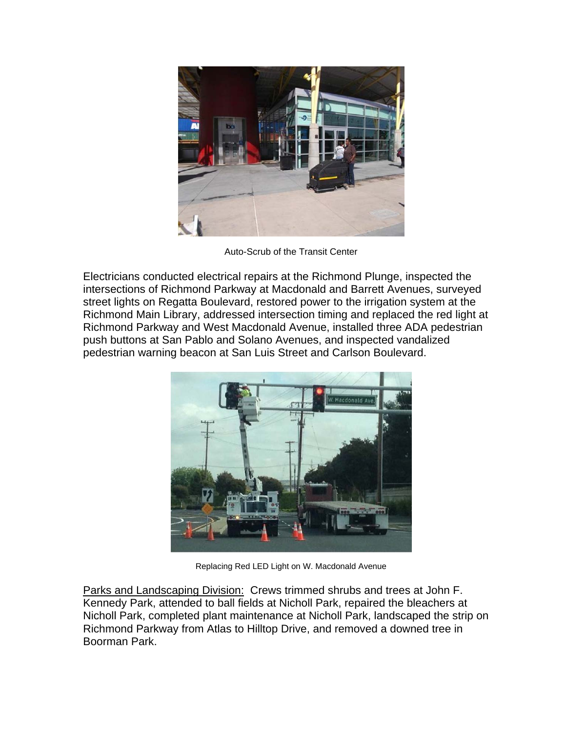

Auto-Scrub of the Transit Center

Electricians conducted electrical repairs at the Richmond Plunge, inspected the intersections of Richmond Parkway at Macdonald and Barrett Avenues, surveyed street lights on Regatta Boulevard, restored power to the irrigation system at the Richmond Main Library, addressed intersection timing and replaced the red light at Richmond Parkway and West Macdonald Avenue, installed three ADA pedestrian push buttons at San Pablo and Solano Avenues, and inspected vandalized pedestrian warning beacon at San Luis Street and Carlson Boulevard.



Replacing Red LED Light on W. Macdonald Avenue

Parks and Landscaping Division: Crews trimmed shrubs and trees at John F. Kennedy Park, attended to ball fields at Nicholl Park, repaired the bleachers at Nicholl Park, completed plant maintenance at Nicholl Park, landscaped the strip on Richmond Parkway from Atlas to Hilltop Drive, and removed a downed tree in Boorman Park.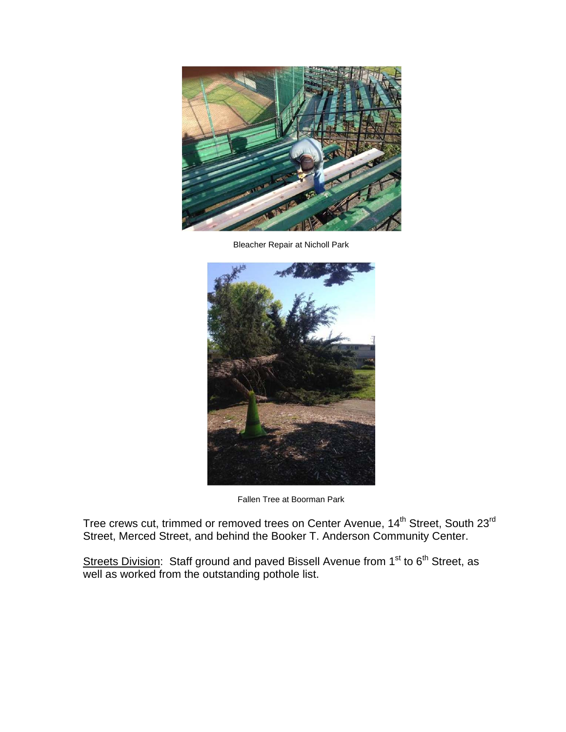

Bleacher Repair at Nicholl Park



Fallen Tree at Boorman Park

Tree crews cut, trimmed or removed trees on Center Avenue, 14<sup>th</sup> Street, South 23<sup>rd</sup> Street, Merced Street, and behind the Booker T. Anderson Community Center.

Streets Division: Staff ground and paved Bissell Avenue from 1<sup>st</sup> to 6<sup>th</sup> Street, as well as worked from the outstanding pothole list.